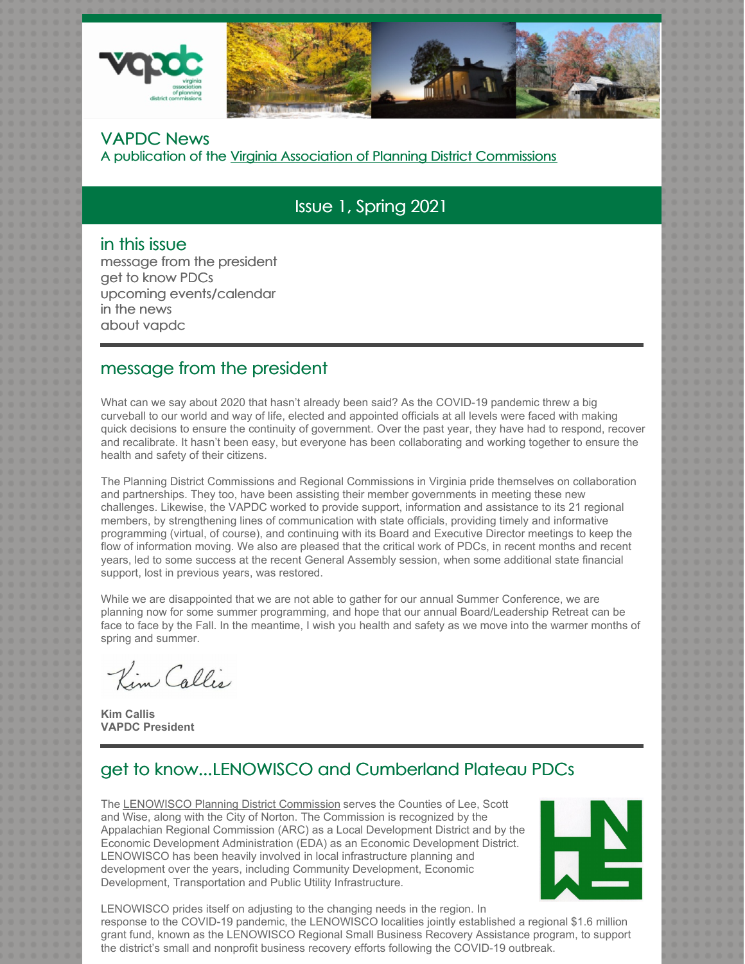

#### VAPDC News

A publication of the Virginia Association of Planning District Commissions

# Issue 1, Spring 2021

#### in this issue

message from the president get to know PDCs upcoming events/calendar in the news about vapdc

### message from the president

What can we say about 2020 that hasn't already been said? As the COVID-19 pandemic threw a big curveball to our world and way of life, elected and appointed officials at all levels were faced with making quick decisions to ensure the continuity of government. Over the past year, they have had to respond, recover and recalibrate. It hasn't been easy, but everyone has been collaborating and working together to ensure the health and safety of their citizens.

The Planning District Commissions and Regional Commissions in Virginia pride themselves on collaboration and partnerships. They too, have been assisting their member governments in meeting these new challenges. Likewise, the VAPDC worked to provide support, information and assistance to its 21 regional members, by strengthening lines of communication with state officials, providing timely and informative programming (virtual, of course), and continuing with its Board and Executive Director meetings to keep the flow of information moving. We also are pleased that the critical work of PDCs, in recent months and recent years, led to some success at the recent General Assembly session, when some additional state financial support, lost in previous years, was restored.

While we are disappointed that we are not able to gather for our annual Summer Conference, we are planning now for some summer programming, and hope that our annual Board/Leadership Retreat can be face to face by the Fall. In the meantime, I wish you health and safety as we move into the warmer months of spring and summer.

Kim Callis

**Kim Callis VAPDC President**

# get to know...LENOWISCO and Cumberland Plateau PDCs

The LENOWISCO Planning District Commission serves the Counties of Lee, Scott and Wise, along with the City of Norton. The Commission is recognized by the Appalachian Regional Commission (ARC) as a Local Development District and by the Economic Development Administration (EDA) as an Economic Development District. LENOWISCO has been heavily involved in local infrastructure planning and development over the years, including Community Development, Economic Development, Transportation and Public Utility Infrastructure.



LENOWISCO prides itself on adjusting to the changing needs in the region. In response to the COVID-19 pandemic, the LENOWISCO localities jointly established a regional \$1.6 million grant fund, known as the LENOWISCO Regional Small Business Recovery Assistance program, to support the district's small and nonprofit business recovery efforts following the COVID-19 outbreak.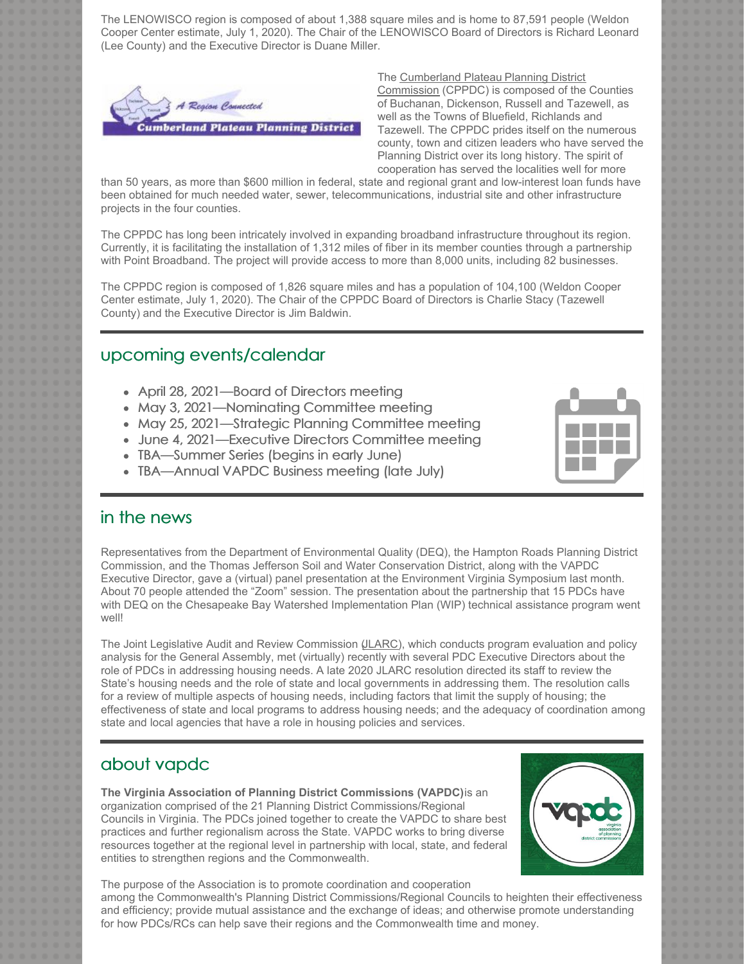The LENOWISCO region is composed of about 1,388 square miles and is home to 87,591 people (Weldon Cooper Center estimate, July 1, 2020). The Chair of the LENOWISCO Board of Directors is Richard Leonard (Lee County) and the Executive Director is Duane Miller.



The Cumberland Plateau Planning District Commission (CPPDC) is composed of the Counties of Buchanan, Dickenson, Russell and Tazewell, as well as the Towns of Bluefield, Richlands and Tazewell. The CPPDC prides itself on the numerous county, town and citizen leaders who have served the Planning District over its long history. The spirit of cooperation has served the localities well for more

than 50 years, as more than \$600 million in federal, state and regional grant and low-interest loan funds have been obtained for much needed water, sewer, telecommunications, industrial site and other infrastructure projects in the four counties.

The CPPDC has long been intricately involved in expanding broadband infrastructure throughout its region. Currently, it is facilitating the installation of 1,312 miles of fiber in its member counties through a partnership with Point Broadband. The project will provide access to more than 8,000 units, including 82 businesses.

The CPPDC region is composed of 1,826 square miles and has a population of 104,100 (Weldon Cooper Center estimate, July 1, 2020). The Chair of the CPPDC Board of Directors is Charlie Stacy (Tazewell County) and the Executive Director is Jim Baldwin.

### upcoming events/calendar

- April 28, 2021—Board of Directors meeting
- May 3, 2021—Nominating Committee meeting
- May 25, 2021—Strategic Planning Committee meeting
- June 4, 2021—Executive Directors Committee meeting
- TBA—Summer Series (begins in early June)
- TBA—Annual VAPDC Business meeting (late July)



#### in the news

Representatives from the Department of Environmental Quality (DEQ), the Hampton Roads Planning District Commission, and the Thomas Jefferson Soil and Water Conservation District, along with the VAPDC Executive Director, gave a (virtual) panel presentation at the Environment Virginia Symposium last month. About 70 people attended the "Zoom" session. The presentation about the partnership that 15 PDCs have with DEQ on the Chesapeake Bay Watershed Implementation Plan (WIP) technical assistance program went well!

The Joint Legislative Audit and Review Commission (JLARC), which conducts program evaluation and policy analysis for the General Assembly, met (virtually) recently with several PDC Executive Directors about the role of PDCs in addressing housing needs. A late 2020 JLARC resolution directed its staff to review the State's housing needs and the role of state and local governments in addressing them. The resolution calls for a review of multiple aspects of housing needs, including factors that limit the supply of housing; the effectiveness of state and local programs to address housing needs; and the adequacy of coordination among state and local agencies that have a role in housing policies and services.

### about vapdc

**The Virginia Association of Planning District Commissions (VAPDC)**is an organization comprised of the 21 Planning District Commissions/Regional Councils in Virginia. The PDCs joined together to create the VAPDC to share best practices and further regionalism across the State. VAPDC works to bring diverse resources together at the regional level in partnership with local, state, and federal entities to strengthen regions and the Commonwealth.



The purpose of the Association is to promote coordination and cooperation among the Commonwealth's Planning District Commissions/Regional Councils to heighten their effectiveness and efficiency; provide mutual assistance and the exchange of ideas; and otherwise promote understanding for how PDCs/RCs can help save their regions and the Commonwealth time and money.